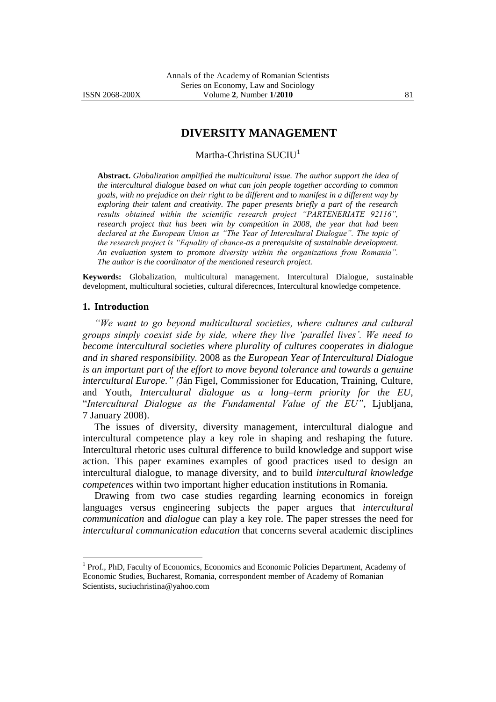# **DIVERSITY MANAGEMENT**

Martha-Christina SUCIU<sup>1</sup>

**Abstract.** *Globalization amplified the multicultural issue. The author support the idea of the intercultural dialogue based on what can join people together according to common goals, with no prejudice on their right to be different and to manifest in a different way by exploring their talent and creativity. The paper presents briefly a part of the research*  results obtained within the scientific research project "PARTENERIATE 92116", *research project that has been win by competition in 2008, the year that had been*  declared at the European Union as "The Year of Intercultural Dialogue". The topic of *the research project is "Equality of chance-as a prerequisite of sustainable development. An evaluation system to promote diversity within the organizations from Romania‖. The author is the coordinator of the mentioned research project.*

**Keywords:** Globalization, multicultural management. Intercultural Dialogue, sustainable development, multicultural societies, cultural diferecnces, Intercultural knowledge competence.

#### **1. Introduction**

 $\overline{a}$ 

*―We want to go beyond multicultural societies, where cultures and cultural groups simply coexist side by side, where they live ‗parallel lives'. We need to become intercultural societies where plurality of cultures cooperates in dialogue and in shared responsibility.* 2008 as *the European Year of Intercultural Dialogue is an important part of the effort to move beyond tolerance and towards a genuine intercultural Europe.‖ (*Ján Figel, Commissioner for Education, Training, Culture, and Youth, *Intercultural dialogue as a long–term priority for the EU,*  "*Intercultural Dialogue as the Fundamental Value of the EU‖*, Ljubljana, 7 January 2008).

The issues of diversity, diversity management, intercultural dialogue and intercultural competence play a key role in shaping and reshaping the future. Intercultural rhetoric uses cultural difference to build knowledge and support wise action. This paper examines examples of good practices used to design an intercultural dialogue, to manage diversity, and to build *intercultural knowledge competences* within two important higher education institutions in Romania.

Drawing from two case studies regarding learning economics in foreign languages versus engineering subjects the paper argues that *intercultural communication* and *dialogue* can play a key role. The paper stresses the need for *intercultural communication education* that concerns several academic disciplines

<sup>&</sup>lt;sup>1</sup> Prof., PhD, Faculty of Economics, Economics and Economic Policies Department, Academy of Economic Studies, Bucharest, Romania, correspondent member of Academy of Romanian Scientists, [suciuchristina@yahoo.com](mailto:suciuchristina@yahoo.com)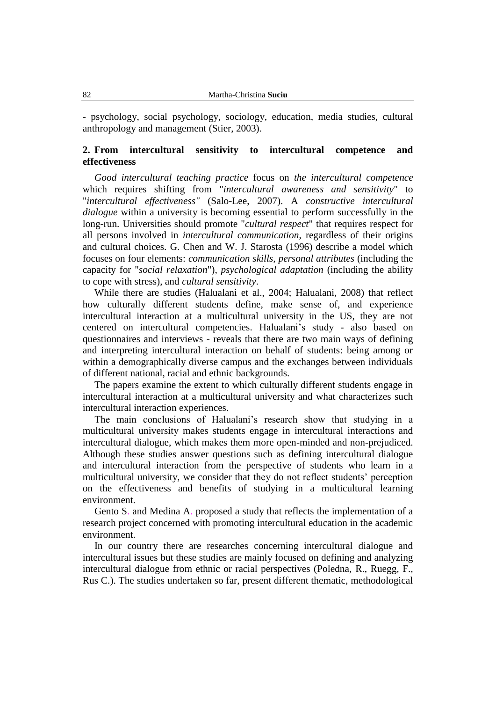- psychology, social psychology, sociology, education, media studies, cultural anthropology and management (Stier, 2003).

## **2. From intercultural sensitivity to intercultural competence and effectiveness**

*Good intercultural teaching practice* focus on *the intercultural competence*  which requires shifting from "*intercultural awareness and sensitivity*" to "*intercultural effectiveness"* (Salo-Lee, 2007). A *constructive intercultural dialogue* within a university is becoming essential to perform successfully in the long-run. Universities should promote "*cultural respect*" that requires respect for all persons involved in *intercultural communication*, regardless of their origins and cultural choices. G. Chen and W. J. Starosta (1996) describe a model which focuses on four elements: *communication skills, personal attributes* (including the capacity for "*social relaxation*"), *psychological adaptation* (including the ability to cope with stress), and *cultural sensitivity*.

While there are studies (Halualani et al., 2004; Halualani, 2008) that reflect how culturally different students define, make sense of, and experience intercultural interaction at a multicultural university in the US, they are not centered on intercultural competencies. Halualani's study - also based on questionnaires and interviews - reveals that there are two main ways of defining and interpreting intercultural interaction on behalf of students: being among or within a demographically diverse campus and the exchanges between individuals of different national, racial and ethnic backgrounds.

The papers examine the extent to which culturally different students engage in intercultural interaction at a multicultural university and what characterizes such intercultural interaction experiences.

The main conclusions of Halualani's research show that studying in a multicultural university makes students engage in intercultural interactions and intercultural dialogue, which makes them more open-minded and non-prejudiced. Although these studies answer questions such as defining intercultural dialogue and intercultural interaction from the perspective of students who learn in a multicultural university, we consider that they do not reflect students' perception on the effectiveness and benefits of studying in a multicultural learning environment.

Gento S. and Medina A. proposed a study that reflects the implementation of a research project concerned with promoting intercultural education in the academic environment.

In our country there are researches concerning intercultural dialogue and intercultural issues but these studies are mainly focused on defining and analyzing intercultural dialogue from ethnic or racial perspectives (Poledna, R., Ruegg, F., Rus C.). The studies undertaken so far, present different thematic, methodological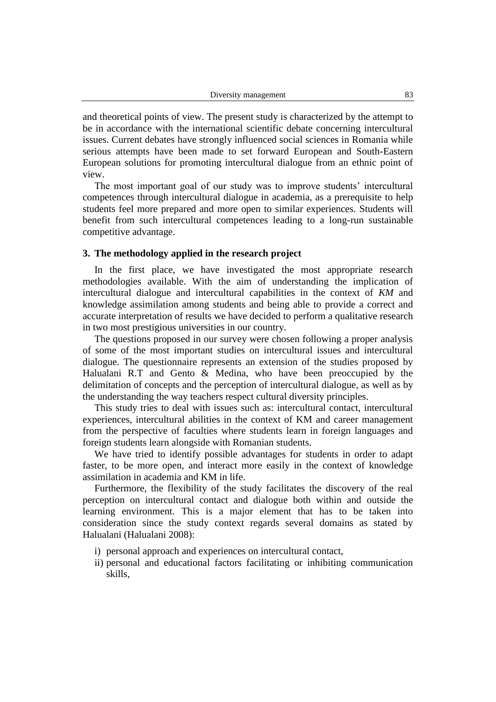and theoretical points of view. The present study is characterized by the attempt to be in accordance with the international scientific debate concerning intercultural issues. Current debates have strongly influenced social sciences in Romania while serious attempts have been made to set forward European and South-Eastern European solutions for promoting intercultural dialogue from an ethnic point of view.

The most important goal of our study was to improve students' intercultural competences through intercultural dialogue in academia, as a prerequisite to help students feel more prepared and more open to similar experiences. Students will benefit from such intercultural competences leading to a long-run sustainable competitive advantage.

### **3. The methodology applied in the research project**

In the first place, we have investigated the most appropriate research methodologies available. With the aim of understanding the implication of intercultural dialogue and intercultural capabilities in the context of *KM* and knowledge assimilation among students and being able to provide a correct and accurate interpretation of results we have decided to perform a qualitative research in two most prestigious universities in our country.

The questions proposed in our survey were chosen following a proper analysis of some of the most important studies on intercultural issues and intercultural dialogue. The questionnaire represents an extension of the studies proposed by Halualani R.T and Gento & Medina, who have been preoccupied by the delimitation of concepts and the perception of intercultural dialogue, as well as by the understanding the way teachers respect cultural diversity principles.

This study tries to deal with issues such as: intercultural contact, intercultural experiences, intercultural abilities in the context of KM and career management from the perspective of faculties where students learn in foreign languages and foreign students learn alongside with Romanian students.

We have tried to identify possible advantages for students in order to adapt faster, to be more open, and interact more easily in the context of knowledge assimilation in academia and KM in life.

Furthermore, the flexibility of the study facilitates the discovery of the real perception on intercultural contact and dialogue both within and outside the learning environment. This is a major element that has to be taken into consideration since the study context regards several domains as stated by Halualani (Halualani 2008):

- i) personal approach and experiences on intercultural contact,
- ii) personal and educational factors facilitating or inhibiting communication skills,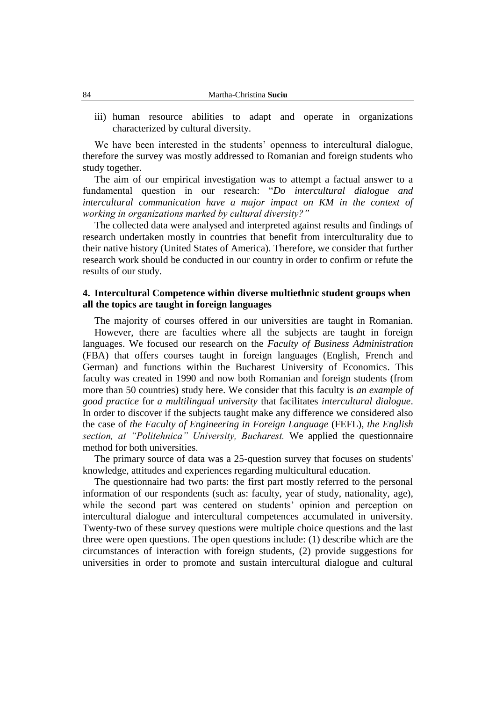iii) human resource abilities to adapt and operate in organizations characterized by cultural diversity.

We have been interested in the students' openness to intercultural dialogue, therefore the survey was mostly addressed to Romanian and foreign students who study together.

The aim of our empirical investigation was to attempt a factual answer to a fundamental question in our research: "*Do intercultural dialogue and intercultural communication have a major impact on KM in the context of working in organizations marked by cultural diversity?‖*

The collected data were analysed and interpreted against results and findings of research undertaken mostly in countries that benefit from interculturality due to their native history (United States of America). Therefore, we consider that further research work should be conducted in our country in order to confirm or refute the results of our study.

### **4. Intercultural Competence within diverse multiethnic student groups when all the topics are taught in foreign languages**

The majority of courses offered in our universities are taught in Romanian. However, there are faculties where all the subjects are taught in foreign languages. We focused our research on the *Faculty of Business Administration*  (FBA) that offers courses taught in foreign languages (English, French and German) and functions within the Bucharest University of Economics. This faculty was created in 1990 and now both Romanian and foreign students (from more than 50 countries) study here. We consider that this faculty is *an example of good practice* for *a multilingual university* that facilitates *intercultural dialogue*. In order to discover if the subjects taught make any difference we considered also the case of *the Faculty of Engineering in Foreign Language* (FEFL), *the English*  section, at "Politehnica" University, Bucharest. We applied the questionnaire method for both universities.

The primary source of data was a 25-question survey that focuses on students' knowledge, attitudes and experiences regarding multicultural education.

The questionnaire had two parts: the first part mostly referred to the personal information of our respondents (such as: faculty, year of study, nationality, age), while the second part was centered on students' opinion and perception on intercultural dialogue and intercultural competences accumulated in university. Twenty-two of these survey questions were multiple choice questions and the last three were open questions. The open questions include: (1) describe which are the circumstances of interaction with foreign students, (2) provide suggestions for universities in order to promote and sustain intercultural dialogue and cultural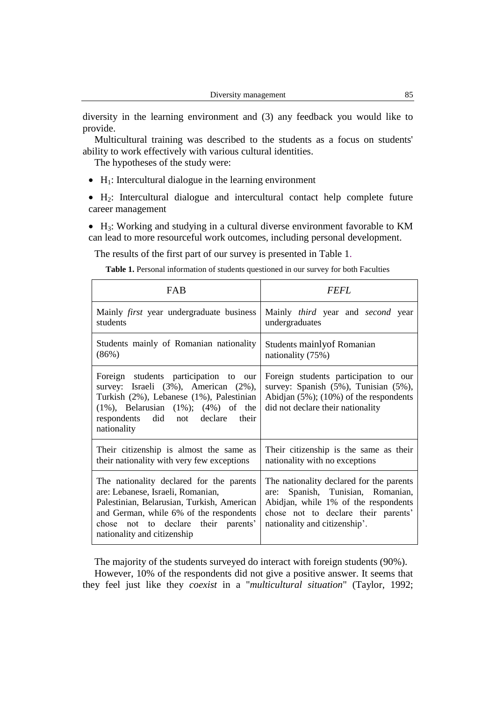diversity in the learning environment and (3) any feedback you would like to provide.

Multicultural training was described to the students as a focus on students' ability to work effectively with various cultural identities.

The hypotheses of the study were:

- $\bullet$  H<sub>1</sub>: Intercultural dialogue in the learning environment
- H2: Intercultural dialogue and intercultural contact help complete future career management

• H<sub>3</sub>: Working and studying in a cultural diverse environment favorable to KM can lead to more resourceful work outcomes, including personal development.

The results of the first part of our survey is presented in Table 1.

**Table 1.** Personal information of students questioned in our survey for both Faculties

| FAB                                                                                                                                                                                                                                          | <i>FEFL</i>                                                                                                                                                                                   |
|----------------------------------------------------------------------------------------------------------------------------------------------------------------------------------------------------------------------------------------------|-----------------------------------------------------------------------------------------------------------------------------------------------------------------------------------------------|
| Mainly <i>first</i> year undergraduate business                                                                                                                                                                                              | Mainly third year and second year                                                                                                                                                             |
| students                                                                                                                                                                                                                                     | undergraduates                                                                                                                                                                                |
| Students mainly of Romanian nationality                                                                                                                                                                                                      | Students mainly of Romanian                                                                                                                                                                   |
| (86%)                                                                                                                                                                                                                                        | nationality (75%)                                                                                                                                                                             |
| Foreign students participation to our<br>survey: Israeli (3%), American (2%),<br>Turkish (2%), Lebanese (1%), Palestinian<br>$(1\%)$ , Belarusian $(1\%)$ ; $(4\%)$ of the<br>respondents did not declare their<br>nationality               | Foreign students participation to our<br>survey: Spanish (5%), Tunisian (5%),<br>Abidjan $(5\%)$ ; $(10\%)$ of the respondents<br>did not declare their nationality                           |
| Their citizenship is almost the same as                                                                                                                                                                                                      | Their citizenship is the same as their                                                                                                                                                        |
| their nationality with very few exceptions                                                                                                                                                                                                   | nationality with no exceptions                                                                                                                                                                |
| The nationality declared for the parents<br>are: Lebanese, Israeli, Romanian,<br>Palestinian, Belarusian, Turkish, American<br>and German, while 6% of the respondents<br>chose not to declare their parents'<br>nationality and citizenship | The nationality declared for the parents<br>are: Spanish, Tunisian, Romanian,<br>Abidjan, while 1% of the respondents<br>chose not to declare their parents'<br>nationality and citizenship'. |

The majority of the students surveyed do interact with foreign students (90%).

However, 10% of the respondents did not give a positive answer. It seems that they feel just like they *coexist* in a "*multicultural situation*" (Taylor, 1992;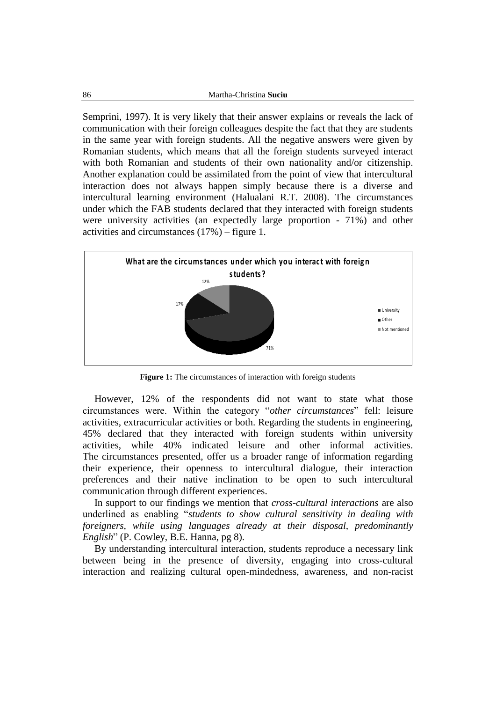Semprini, 1997). It is very likely that their answer explains or reveals the lack of communication with their foreign colleagues despite the fact that they are students in the same year with foreign students. All the negative answers were given by Romanian students, which means that all the foreign students surveyed interact with both Romanian and students of their own nationality and/or citizenship. Another explanation could be assimilated from the point of view that intercultural interaction does not always happen simply because there is a diverse and intercultural learning environment (Halualani R.T. 2008). The circumstances activities and circumstances (17%) – figure 1.



**Figure 1:** The circumstances of interaction with foreign students

However, 12% of the respondents did not want to state what those circumstances were. Within the category "*other circumstances*" fell: leisure activities, extracurricular activities or both. Regarding the students in engineering, 45% declared that they interacted with foreign students within university activities, while 40% indicated leisure and other informal activities. The circumstances presented, offer us a broader range of information regarding their experience, their openness to intercultural dialogue, their interaction preferences and their native inclination to be open to such intercultural communication through different experiences.

In support to our findings we mention that *cross-cultural interactions* are also underlined as enabling "*students to show cultural sensitivity in dealing with foreigners, while using languages already at their disposal, predominantly English*" (P. Cowley, B.E. Hanna, pg 8).

By understanding intercultural interaction, students reproduce a necessary link between being in the presence of diversity, engaging into cross-cultural interaction and realizing cultural open-mindedness, awareness, and non-racist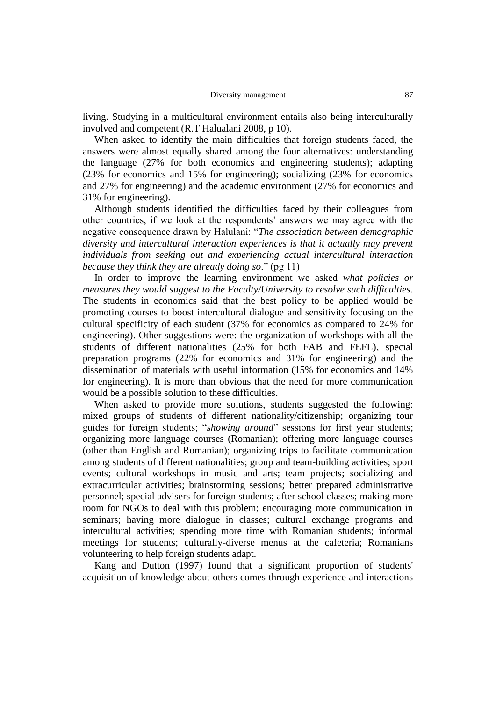living. Studying in a multicultural environment entails also being interculturally involved and competent (R.T Halualani 2008, p 10).

When asked to identify the main difficulties that foreign students faced, the answers were almost equally shared among the four alternatives: understanding the language (27% for both economics and engineering students); adapting (23% for economics and 15% for engineering); socializing (23% for economics and 27% for engineering) and the academic environment (27% for economics and 31% for engineering).

Although students identified the difficulties faced by their colleagues from other countries, if we look at the respondents' answers we may agree with the negative consequence drawn by Halulani: "*The association between demographic diversity and intercultural interaction experiences is that it actually may prevent individuals from seeking out and experiencing actual intercultural interaction because they think they are already doing so*." (pg 11)

In order to improve the learning environment we asked *what policies or measures they would suggest to the Faculty/University to resolve such difficulties.* The students in economics said that the best policy to be applied would be promoting courses to boost intercultural dialogue and sensitivity focusing on the cultural specificity of each student (37% for economics as compared to 24% for engineering). Other suggestions were: the organization of workshops with all the students of different nationalities (25% for both FAB and FEFL), special preparation programs (22% for economics and 31% for engineering) and the dissemination of materials with useful information (15% for economics and 14% for engineering). It is more than obvious that the need for more communication would be a possible solution to these difficulties.

When asked to provide more solutions, students suggested the following: mixed groups of students of different nationality/citizenship; organizing tour guides for foreign students; "*showing around*" sessions for first year students; organizing more language courses (Romanian); offering more language courses (other than English and Romanian); organizing trips to facilitate communication among students of different nationalities; group and team-building activities; sport events; cultural workshops in music and arts; team projects; socializing and extracurricular activities; brainstorming sessions; better prepared administrative personnel; special advisers for foreign students; after school classes; making more room for NGOs to deal with this problem; encouraging more communication in seminars; having more dialogue in classes; cultural exchange programs and intercultural activities; spending more time with Romanian students; informal meetings for students; culturally-diverse menus at the cafeteria; Romanians volunteering to help foreign students adapt.

Kang and Dutton (1997) found that a significant proportion of students' acquisition of knowledge about others comes through experience and interactions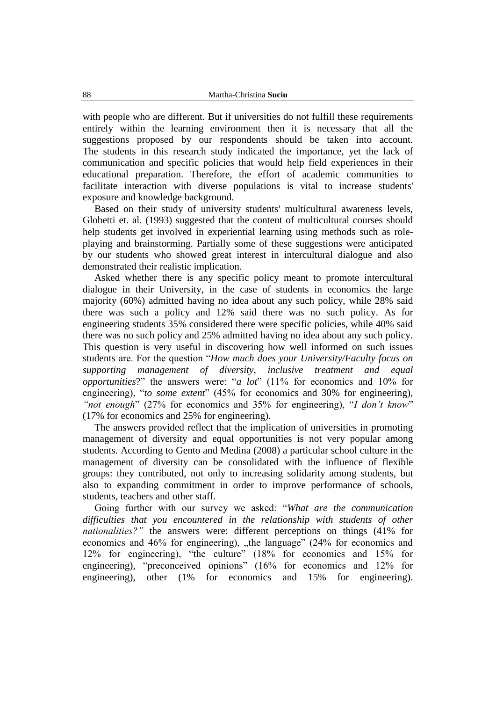with people who are different. But if universities do not fulfill these requirements entirely within the learning environment then it is necessary that all the suggestions proposed by our respondents should be taken into account. The students in this research study indicated the importance, yet the lack of communication and specific policies that would help field experiences in their educational preparation. Therefore, the effort of academic communities to facilitate interaction with diverse populations is vital to increase students' exposure and knowledge background.

Based on their study of university students' multicultural awareness levels, Globetti et. al. (1993) suggested that the content of multicultural courses should help students get involved in experiential learning using methods such as roleplaying and brainstorming. Partially some of these suggestions were anticipated by our students who showed great interest in intercultural dialogue and also demonstrated their realistic implication.

Asked whether there is any specific policy meant to promote intercultural dialogue in their University, in the case of students in economics the large majority (60%) admitted having no idea about any such policy, while 28% said there was such a policy and 12% said there was no such policy. As for engineering students 35% considered there were specific policies, while 40% said there was no such policy and 25% admitted having no idea about any such policy. This question is very useful in discovering how well informed on such issues students are. For the question "*How much does your University/Faculty focus on supporting management of diversity, inclusive treatment and equal opportunities*?" the answers were: "*a lot*" (11% for economics and 10% for engineering), "*to some extent*" (45% for economics and 30% for engineering), "*not enough*" (27% for economics and 35% for engineering), "*I don't know*" (17% for economics and 25% for engineering).

The answers provided reflect that the implication of universities in promoting management of diversity and equal opportunities is not very popular among students. According to Gento and Medina (2008) a particular school culture in the management of diversity can be consolidated with the influence of flexible groups: they contributed, not only to increasing solidarity among students, but also to expanding commitment in order to improve performance of schools, students, teachers and other staff.

Going further with our survey we asked: "*What are the communication difficulties that you encountered in the relationship with students of other nationalities?*" the answers were: different perceptions on things (41% for economics and 46% for engineering), "the language" (24% for economics and 12% for engineering), "the culture" (18% for economics and 15% for engineering), "preconceived opinions" (16% for economics and 12% for engineering), other (1% for economics and 15% for engineering).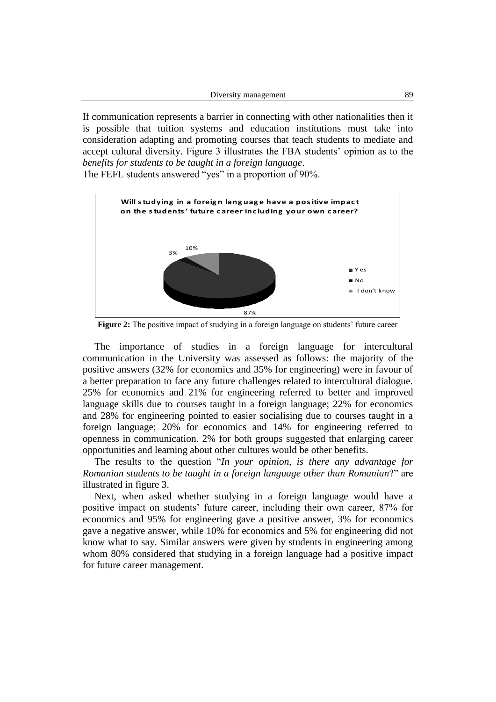If communication represents a barrier in connecting with other nationalities then it is possible that tuition systems and education institutions must take into consideration adapting and promoting courses that teach students to mediate and accept cultural diversity. Figure 3 illustrates the FBA students' opinion as to the *benefits for students to be taught in a foreign language*.



**Figure 2:** The positive impact of studying in a foreign language on students' future career

The importance of studies in a foreign language for intercultural communication in the University was assessed as follows: the majority of the positive answers (32% for economics and 35% for engineering) were in favour of a better preparation to face any future challenges related to intercultural dialogue. 25% for economics and 21% for engineering referred to better and improved language skills due to courses taught in a foreign language; 22% for economics and 28% for engineering pointed to easier socialising due to courses taught in a foreign language; 20% for economics and 14% for engineering referred to openness in communication. 2% for both groups suggested that enlarging career opportunities and learning about other cultures would be other benefits.

The results to the question "*In your opinion, is there any advantage for Romanian students to be taught in a foreign language other than Romanian*?" are illustrated in figure 3.

Next, when asked whether studying in a foreign language would have a positive impact on students' future career, including their own career, 87% for economics and 95% for engineering gave a positive answer, 3% for economics gave a negative answer, while 10% for economics and 5% for engineering did not know what to say. Similar answers were given by students in engineering among whom 80% considered that studying in a foreign language had a positive impact for future career management.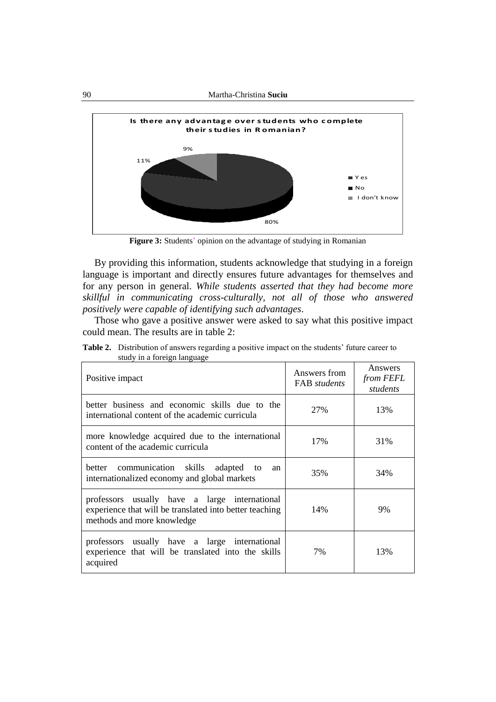

**Figure 3:** Students' opinion on the advantage of studying in Romanian

By providing this information, students acknowledge that studying in a foreign language is important and directly ensures future advantages for themselves and for any person in general. *While students asserted that they had become more skillful in communicating cross-culturally, not all of those who answered positively were capable of identifying such advantages*.

Those who gave a positive answer were asked to say what this positive impact could mean. The results are in table 2:

| Positive impact                                                                                                                        | Answers from<br><b>FAB</b> students | Answers<br>from FEFL<br>students |
|----------------------------------------------------------------------------------------------------------------------------------------|-------------------------------------|----------------------------------|
| better business and economic skills due to the<br>international content of the academic curricula                                      | 27%                                 | 13%                              |
| more knowledge acquired due to the international<br>content of the academic curricula                                                  | 17%                                 | 31%                              |
| better communication skills<br>adapted to<br>an<br>internationalized economy and global markets                                        | 35%                                 | 34%                              |
| professors usually have a large international<br>experience that will be translated into better teaching<br>methods and more knowledge | 14%                                 | 9%                               |
| professors usually have a large international<br>experience that will be translated into the skills<br>acquired                        | 7%                                  | 13%                              |

**Table 2.** Distribution of answers regarding a positive impact on the students' future career to study in a foreign language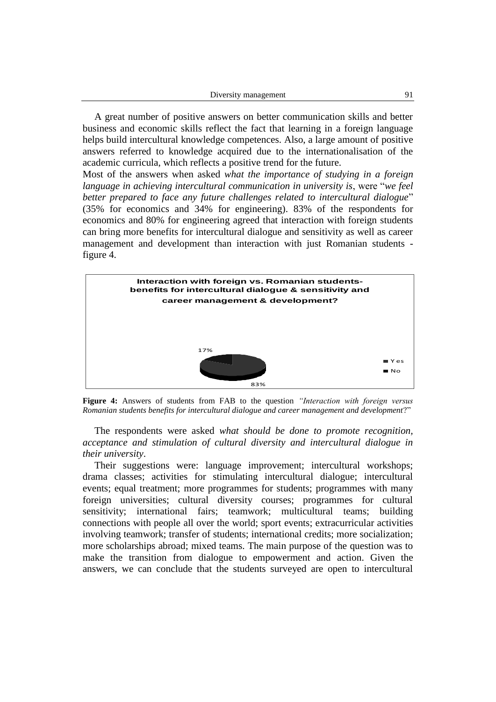| Diversity management |  |
|----------------------|--|
|----------------------|--|

A great number of positive answers on better communication skills and better business and economic skills reflect the fact that learning in a foreign language helps build intercultural knowledge competences. Also, a large amount of positive answers referred to knowledge acquired due to the internationalisation of the academic curricula, which reflects a positive trend for the future.

Most of the answers when asked *what the importance of studying in a foreign language in achieving intercultural communication in university is*, were "*we feel better prepared to face any future challenges related to intercultural dialogue*" (35% for economics and 34% for engineering). 83% of the respondents for economics and 80% for engineering agreed that interaction with foreign students can bring more benefits for intercultural dialogue and sensitivity as well as career management and development than interaction with just Romanian students figure 4.



**Figure 4:** Answers of students from FAB to the question *"Interaction with foreign versus Romanian students benefits for intercultural dialogue and career management and development*?"

The respondents were asked *what should be done to promote recognition, acceptance and stimulation of cultural diversity and intercultural dialogue in their university*.

Their suggestions were: language improvement; intercultural workshops; drama classes; activities for stimulating intercultural dialogue; intercultural events; equal treatment; more programmes for students; programmes with many foreign universities; cultural diversity courses; programmes for cultural sensitivity; international fairs; teamwork; multicultural teams; building connections with people all over the world; sport events; extracurricular activities involving teamwork; transfer of students; international credits; more socialization; more scholarships abroad; mixed teams. The main purpose of the question was to make the transition from dialogue to empowerment and action. Given the answers, we can conclude that the students surveyed are open to intercultural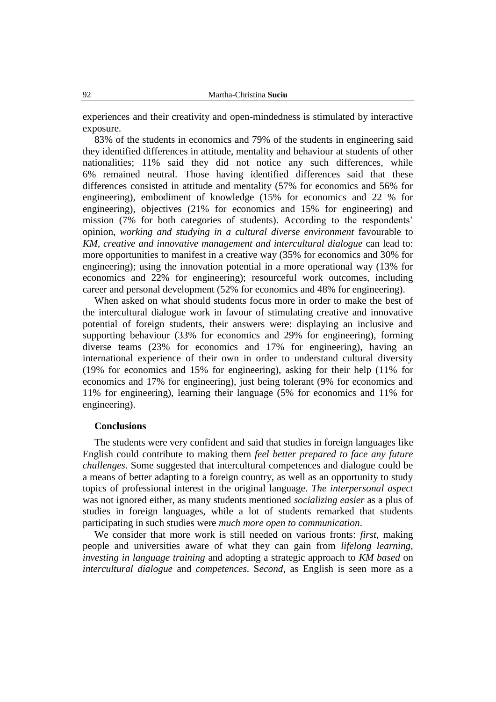experiences and their creativity and open-mindedness is stimulated by interactive exposure.

83% of the students in economics and 79% of the students in engineering said they identified differences in attitude, mentality and behaviour at students of other nationalities; 11% said they did not notice any such differences, while 6% remained neutral. Those having identified differences said that these differences consisted in attitude and mentality (57% for economics and 56% for engineering), embodiment of knowledge (15% for economics and 22 % for engineering), objectives (21% for economics and 15% for engineering) and mission (7% for both categories of students). According to the respondents' opinion, *working and studying in a cultural diverse environment* favourable to *KM, creative and innovative management and intercultural dialogue* can lead to: more opportunities to manifest in a creative way (35% for economics and 30% for engineering); using the innovation potential in a more operational way (13% for economics and 22% for engineering); resourceful work outcomes, including career and personal development (52% for economics and 48% for engineering).

When asked on what should students focus more in order to make the best of the intercultural dialogue work in favour of stimulating creative and innovative potential of foreign students, their answers were: displaying an inclusive and supporting behaviour (33% for economics and 29% for engineering), forming diverse teams (23% for economics and 17% for engineering), having an international experience of their own in order to understand cultural diversity (19% for economics and 15% for engineering), asking for their help (11% for economics and 17% for engineering), just being tolerant (9% for economics and 11% for engineering), learning their language (5% for economics and 11% for engineering).

### **Conclusions**

The students were very confident and said that studies in foreign languages like English could contribute to making them *feel better prepared to face any future challenges.* Some suggested that intercultural competences and dialogue could be a means of better adapting to a foreign country, as well as an opportunity to study topics of professional interest in the original language. *The interpersonal aspect* was not ignored either, as many students mentioned *socializing easier* as a plus of studies in foreign languages, while a lot of students remarked that students participating in such studies were *much more open to communication*.

We consider that more work is still needed on various fronts: *first*, making people and universities aware of what they can gain from *lifelong learning, investing in language training* and adopting a strategic approach to *KM based* on *intercultural dialogue* and *competences*. S*econd*, as English is seen more as a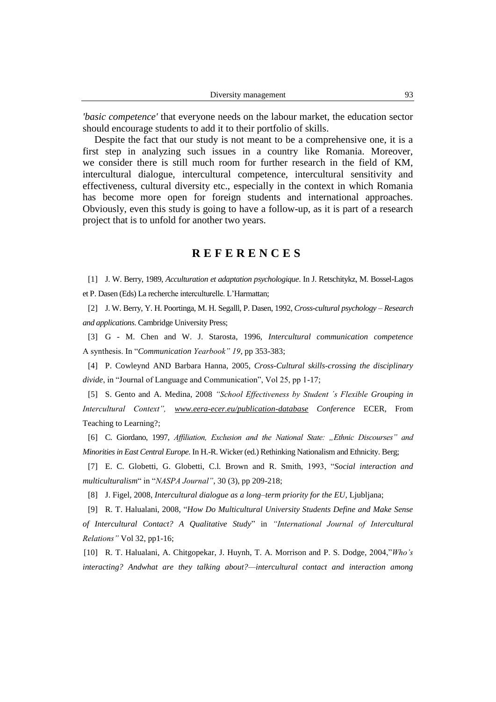*'basic competence'* that everyone needs on the labour market, the education sector should encourage students to add it to their portfolio of skills.

Despite the fact that our study is not meant to be a comprehensive one, it is a first step in analyzing such issues in a country like Romania. Moreover, we consider there is still much room for further research in the field of KM, intercultural dialogue*,* intercultural competence, intercultural sensitivity and effectiveness, cultural diversity etc., especially in the context in which Romania has become more open for foreign students and international approaches. Obviously, even this study is going to have a follow-up, as it is part of a research project that is to unfold for another two years.

# **R E F E R E N C E S**

[1] J. W. Berry, 1989, *Acculturation et adaptation psychologique*. In J. Retschitykz, M. Bossel-Lagos et P. Dasen (Eds) La recherche interculturelle. L'Harmattan;

[2] J. W. Berry, Y. H. Poortinga, M. H. Segalll, P. Dasen, 1992, *Cross-cultural psychology – Research and applications*. Cambridge University Press;

[3] G - M. Chen and W. J. Starosta, 1996, *Intercultural communication competence* A synthesis. In "Communication Yearbook" 19, pp 353-383;

[4] P. Cowleynd AND Barbara Hanna, 2005, *Cross-Cultural skills-crossing the disciplinary divide*, in "Journal of Language and Communication", Vol 25, pp 1-17;

[5] S. Gento and A. Medina, 2008 "School Effectiveness by Student 's Flexible Grouping in *Intercultural Context‖, [www.eera-ecer.eu/publication-database](http://www.eera-ecer.eu/publication-database) Conference* ECER, From Teaching to Learning?;

[6] C. Giordano, 1997, *Affiliation, Exclusion and the National State: "Ethnic Discourses" and Minorities in East Central Europe*. In H.-R. Wicker (ed.) Rethinking Nationalism and Ethnicity. Berg;

[7] E. C. Globetti, G. Globetti, C.l. Brown and R. Smith, 1993, "*Social interaction and multiculturalism*" in "*NASPA Journal*", 30 (3), pp 209-218;

[8] J. Figel, 2008, *Intercultural dialogue as a long–term priority for the EU,* Ljubljana;

[9] R. T. Halualani, 2008, "*How Do Multicultural University Students Define and Make Sense* 

*of Intercultural Contact? A Qualitative Study*" in *―International Journal of Intercultural Relations‖* Vol 32, pp1-16;

[10] R. T. Halualani, A. Chitgopekar, J. Huynh, T. A. Morrison and P. S. Dodge, 2004,"*Who's interacting? Andwhat are they talking about?—intercultural contact and interaction among*